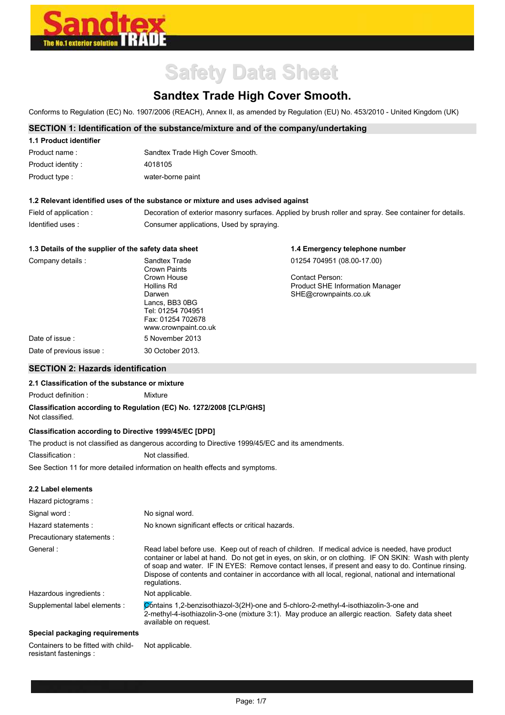

# **Safety Data Sheet**

## **Sandtex Trade High Cover Smooth.**

Conforms to Regulation (EC) No. 1907/2006 (REACH), Annex II, as amended by Regulation (EU) No. 453/2010 - United Kingdom (UK)

#### **SECTION 1: Identification of the substance/mixture and of the company/undertaking**

| 1.1 Product identifier |                                  |
|------------------------|----------------------------------|
| Product name:          | Sandtex Trade High Cover Smooth. |
| Product identity:      | 4018105                          |
| Product type :         | water-borne paint                |

#### **1.2 Relevant identified uses of the substance or mixture and uses advised against**

| Field of application : | Decoration of exterior masonry surfaces. Applied by brush roller and spray. See container for details. |
|------------------------|--------------------------------------------------------------------------------------------------------|
| Identified uses:       | Consumer applications, Used by spraying.                                                               |

**1.4 Emergency telephone number** 

#### **1.3 Details of the supplier of the safety data sheet**

| Company details:        | Sandtex Trade<br>Crown Paints | 01254 704951 (08.00-17.00)             |
|-------------------------|-------------------------------|----------------------------------------|
|                         | Crown House                   | Contact Person:                        |
|                         | Hollins Rd                    | <b>Product SHE Information Manager</b> |
|                         | Darwen                        | SHE@crownpaints.co.uk                  |
|                         | Lancs, BB3 0BG                |                                        |
|                         | Tel: 01254 704951             |                                        |
|                         | Fax: 01254 702678             |                                        |
|                         | www.crownpaint.co.uk          |                                        |
| Date of issue:          | 5 November 2013               |                                        |
| Date of previous issue: | 30 October 2013.              |                                        |
|                         |                               |                                        |

### **SECTION 2: Hazards identification**

#### **2.1 Classification of the substance or mixture**

Product definition : Mixture

#### **Classification according to Regulation (EC) No. 1272/2008 [CLP/GHS]**

Not classified.

#### **Classification according to Directive 1999/45/EC [DPD]**

The product is not classified as dangerous according to Directive 1999/45/EC and its amendments.

Classification : Not classified.

See Section 11 for more detailed information on health effects and symptoms.

#### **2.2 Label elements**

| Hazard pictograms:            |                                                                                                                                                                                                                                                                                                                                                                                                                                        |
|-------------------------------|----------------------------------------------------------------------------------------------------------------------------------------------------------------------------------------------------------------------------------------------------------------------------------------------------------------------------------------------------------------------------------------------------------------------------------------|
| Signal word:                  | No signal word.                                                                                                                                                                                                                                                                                                                                                                                                                        |
| Hazard statements:            | No known significant effects or critical hazards.                                                                                                                                                                                                                                                                                                                                                                                      |
| Precautionary statements :    |                                                                                                                                                                                                                                                                                                                                                                                                                                        |
| General:                      | Read label before use. Keep out of reach of children. If medical advice is needed, have product<br>container or label at hand. Do not get in eyes, on skin, or on clothing. IF ON SKIN: Wash with plenty<br>of soap and water. IF IN EYES: Remove contact lenses, if present and easy to do. Continue rinsing.<br>Dispose of contents and container in accordance with all local, regional, national and international<br>requlations. |
| Hazardous ingredients :       | Not applicable.                                                                                                                                                                                                                                                                                                                                                                                                                        |
| Supplemental label elements : | Contains 1.2-benzisothiazol-3(2H)-one and 5-chloro-2-methyl-4-isothiazolin-3-one and<br>2-methyl-4-isothiazolin-3-one (mixture 3:1). May produce an allergic reaction. Safety data sheet<br>available on request.                                                                                                                                                                                                                      |
|                               |                                                                                                                                                                                                                                                                                                                                                                                                                                        |

#### **Special packaging requirements**

Containers to be fitted with childresistant fastenings :

Not applicable.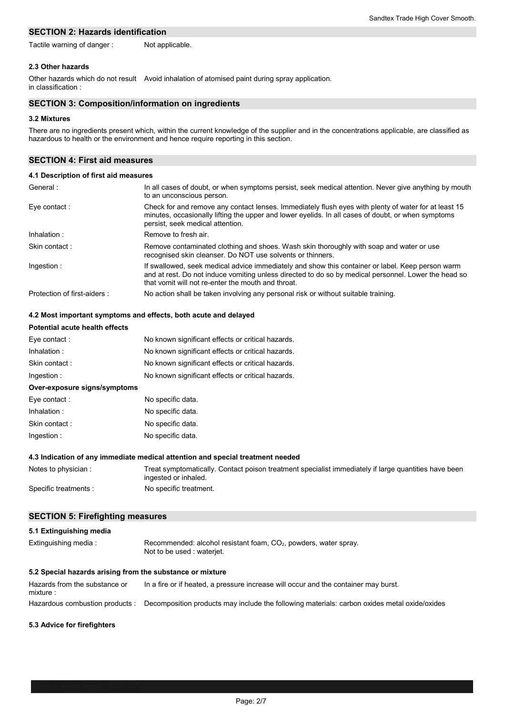#### **SECTION 2: Hazards identification**

Tactile warning of danger : Not applicable.

#### **2.3 Other hazards**

Other hazards which do not result Avoid inhalation of atomised paint during spray application. in classification :

#### **SECTION 3: Composition/information on ingredients**

#### **3.2 Mixtures**

There are no ingredients present which, within the current knowledge of the supplier and in the concentrations applicable, are classified as hazardous to health or the environment and hence require reporting in this section.

#### **SECTION 4: First aid measures**

| 4.1 Description of first aid measures |                                                                                                                                                                                                                                                                |
|---------------------------------------|----------------------------------------------------------------------------------------------------------------------------------------------------------------------------------------------------------------------------------------------------------------|
| General:                              | In all cases of doubt, or when symptoms persist, seek medical attention. Never give anything by mouth<br>to an unconscious person.                                                                                                                             |
| Eye contact:                          | Check for and remove any contact lenses. Immediately flush eyes with plenty of water for at least 15<br>minutes, occasionally lifting the upper and lower eyelids. In all cases of doubt, or when symptoms<br>persist, seek medical attention.                 |
| Inhalation:                           | Remove to fresh air.                                                                                                                                                                                                                                           |
| Skin contact:                         | Remove contaminated clothing and shoes. Wash skin thoroughly with soap and water or use<br>recognised skin cleanser. Do NOT use solvents or thinners.                                                                                                          |
| Ingestion:                            | If swallowed, seek medical advice immediately and show this container or label. Keep person warm<br>and at rest. Do not induce vomiting unless directed to do so by medical personnel. Lower the head so<br>that vomit will not re-enter the mouth and throat. |
| Protection of first-aiders :          | No action shall be taken involving any personal risk or without suitable training.                                                                                                                                                                             |

#### **4.2 Most important symptoms and effects, both acute and delayed**

| <b>Potential acute health effects</b> |                                                   |
|---------------------------------------|---------------------------------------------------|
| Eye contact:                          | No known significant effects or critical hazards. |
| Inhalation:                           | No known significant effects or critical hazards. |
| Skin contact:                         | No known significant effects or critical hazards. |
| Ingestion:                            | No known significant effects or critical hazards. |
| Over-exposure signs/symptoms          |                                                   |
| Eye contact:                          | No specific data.                                 |
| Inhalation:                           | No specific data.                                 |
| Skin contact:                         | No specific data.                                 |
| Ingestion:                            | No specific data.                                 |

#### **4.3 Indication of any immediate medical attention and special treatment needed**

| Notes to physician:  | Treat symptomatically. Contact poison treatment specialist immediately if large quantities have been |
|----------------------|------------------------------------------------------------------------------------------------------|
|                      | ingested or inhaled.                                                                                 |
| Specific treatments: | No specific treatment.                                                                               |

#### **SECTION 5: Firefighting measures**

| 5.1 Extinguishing media                                   |                                                                                                           |  |
|-----------------------------------------------------------|-----------------------------------------------------------------------------------------------------------|--|
| Extinguishing media:                                      | Recommended: alcohol resistant foam, CO <sub>2</sub> , powders, water spray.<br>Not to be used: wateriet. |  |
| 5.2 Special hazards arising from the substance or mixture |                                                                                                           |  |
| Hazards from the substance or<br>mixture:                 | In a fire or if heated, a pressure increase will occur and the container may burst.                       |  |
| Hazardous combustion products :                           | Decomposition products may include the following materials: carbon oxides metal oxide/oxides              |  |

#### **5.3 Advice for firefighters**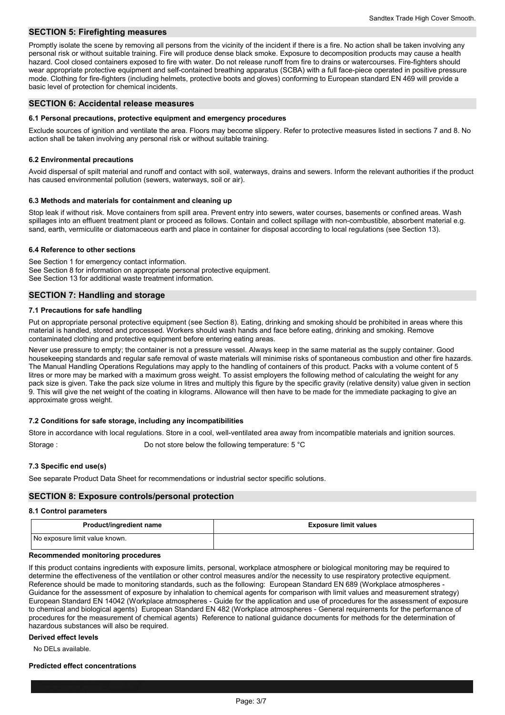#### **SECTION 5: Firefighting measures**

Promptly isolate the scene by removing all persons from the vicinity of the incident if there is a fire. No action shall be taken involving any personal risk or without suitable training. Fire will produce dense black smoke. Exposure to decomposition products may cause a health hazard. Cool closed containers exposed to fire with water. Do not release runoff from fire to drains or watercourses. Fire-fighters should wear appropriate protective equipment and self-contained breathing apparatus (SCBA) with a full face-piece operated in positive pressure mode. Clothing for fire-fighters (including helmets, protective boots and gloves) conforming to European standard EN 469 will provide a basic level of protection for chemical incidents.

#### **SECTION 6: Accidental release measures**

#### **6.1 Personal precautions, protective equipment and emergency procedures**

Exclude sources of ignition and ventilate the area. Floors may become slippery. Refer to protective measures listed in sections 7 and 8. No action shall be taken involving any personal risk or without suitable training.

#### **6.2 Environmental precautions**

Avoid dispersal of spilt material and runoff and contact with soil, waterways, drains and sewers. Inform the relevant authorities if the product has caused environmental pollution (sewers, waterways, soil or air).

#### **6.3 Methods and materials for containment and cleaning up**

Stop leak if without risk. Move containers from spill area. Prevent entry into sewers, water courses, basements or confined areas. Wash spillages into an effluent treatment plant or proceed as follows. Contain and collect spillage with non-combustible, absorbent material e.g. sand, earth, vermiculite or diatomaceous earth and place in container for disposal according to local regulations (see Section 13).

#### **6.4 Reference to other sections**

See Section 1 for emergency contact information. See Section 8 for information on appropriate personal protective equipment. See Section 13 for additional waste treatment information.

#### **SECTION 7: Handling and storage**

#### **7.1 Precautions for safe handling**

Put on appropriate personal protective equipment (see Section 8). Eating, drinking and smoking should be prohibited in areas where this material is handled, stored and processed. Workers should wash hands and face before eating, drinking and smoking. Remove contaminated clothing and protective equipment before entering eating areas.

Never use pressure to empty; the container is not a pressure vessel. Always keep in the same material as the supply container. Good housekeeping standards and regular safe removal of waste materials will minimise risks of spontaneous combustion and other fire hazards. The Manual Handling Operations Regulations may apply to the handling of containers of this product. Packs with a volume content of 5 litres or more may be marked with a maximum gross weight. To assist employers the following method of calculating the weight for any pack size is given. Take the pack size volume in litres and multiply this figure by the specific gravity (relative density) value given in section 9. This will give the net weight of the coating in kilograms. Allowance will then have to be made for the immediate packaging to give an approximate gross weight.

#### **7.2 Conditions for safe storage, including any incompatibilities**

Store in accordance with local regulations. Store in a cool, well-ventilated area away from incompatible materials and ignition sources.

Storage : Storage : Do not store below the following temperature: 5 °C

#### **7.3 Specific end use(s)**

See separate Product Data Sheet for recommendations or industrial sector specific solutions.

#### **SECTION 8: Exposure controls/personal protection**

#### **8.1 Control parameters**

| Product/ingredient name        | <b>Exposure limit values</b> |
|--------------------------------|------------------------------|
| No exposure limit value known. |                              |

#### **Recommended monitoring procedures**

If this product contains ingredients with exposure limits, personal, workplace atmosphere or biological monitoring may be required to determine the effectiveness of the ventilation or other control measures and/or the necessity to use respiratory protective equipment. Reference should be made to monitoring standards, such as the following: European Standard EN 689 (Workplace atmospheres - Guidance for the assessment of exposure by inhalation to chemical agents for comparison with limit values and measurement strategy) European Standard EN 14042 (Workplace atmospheres - Guide for the application and use of procedures for the assessment of exposure to chemical and biological agents) European Standard EN 482 (Workplace atmospheres - General requirements for the performance of procedures for the measurement of chemical agents) Reference to national guidance documents for methods for the determination of hazardous substances will also be required.

#### **Derived effect levels**

No DELs available.

#### **Predicted effect concentrations**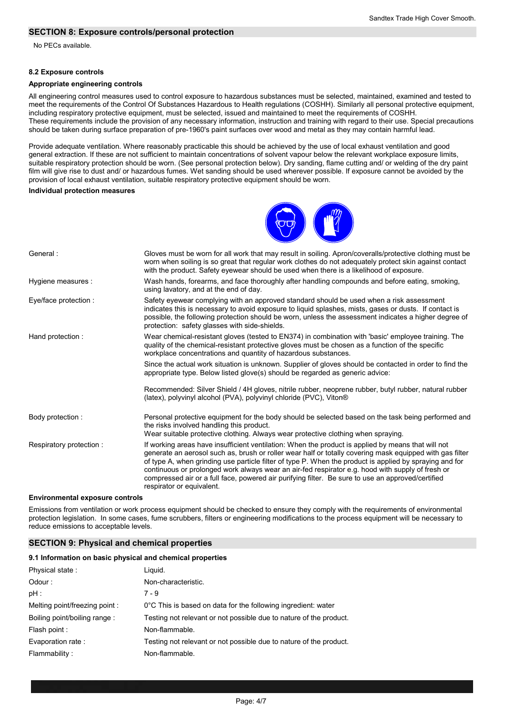#### **SECTION 8: Exposure controls/personal protection**

No PECs available.

#### **8.2 Exposure controls**

#### **Appropriate engineering controls**

All engineering control measures used to control exposure to hazardous substances must be selected, maintained, examined and tested to meet the requirements of the Control Of Substances Hazardous to Health regulations (COSHH). Similarly all personal protective equipment, including respiratory protective equipment, must be selected, issued and maintained to meet the requirements of COSHH. These requirements include the provision of any necessary information, instruction and training with regard to their use. Special precautions should be taken during surface preparation of pre-1960's paint surfaces over wood and metal as they may contain harmful lead.

Provide adequate ventilation. Where reasonably practicable this should be achieved by the use of local exhaust ventilation and good general extraction. If these are not sufficient to maintain concentrations of solvent vapour below the relevant workplace exposure limits, suitable respiratory protection should be worn. (See personal protection below). Dry sanding, flame cutting and/ or welding of the dry paint film will give rise to dust and/ or hazardous fumes. Wet sanding should be used wherever possible. If exposure cannot be avoided by the provision of local exhaust ventilation, suitable respiratory protective equipment should be worn.

#### **Individual protection measures**



| General:                | Gloves must be worn for all work that may result in soiling. Apron/coveralls/protective clothing must be<br>worn when soiling is so great that regular work clothes do not adequately protect skin against contact<br>with the product. Safety eyewear should be used when there is a likelihood of exposure.                                                                                                                                                                                                                                                   |
|-------------------------|-----------------------------------------------------------------------------------------------------------------------------------------------------------------------------------------------------------------------------------------------------------------------------------------------------------------------------------------------------------------------------------------------------------------------------------------------------------------------------------------------------------------------------------------------------------------|
| Hygiene measures :      | Wash hands, forearms, and face thoroughly after handling compounds and before eating, smoking,<br>using lavatory, and at the end of day.                                                                                                                                                                                                                                                                                                                                                                                                                        |
| Eye/face protection :   | Safety eyewear complying with an approved standard should be used when a risk assessment<br>indicates this is necessary to avoid exposure to liquid splashes, mists, gases or dusts. If contact is<br>possible, the following protection should be worn, unless the assessment indicates a higher degree of<br>protection: safety glasses with side-shields.                                                                                                                                                                                                    |
| Hand protection:        | Wear chemical-resistant gloves (tested to EN374) in combination with 'basic' employee training. The<br>quality of the chemical-resistant protective gloves must be chosen as a function of the specific<br>workplace concentrations and quantity of hazardous substances.                                                                                                                                                                                                                                                                                       |
|                         | Since the actual work situation is unknown. Supplier of gloves should be contacted in order to find the<br>appropriate type. Below listed glove(s) should be regarded as generic advice:                                                                                                                                                                                                                                                                                                                                                                        |
|                         | Recommended: Silver Shield / 4H gloves, nitrile rubber, neoprene rubber, butyl rubber, natural rubber<br>(latex), polyvinyl alcohol (PVA), polyvinyl chloride (PVC), Viton®                                                                                                                                                                                                                                                                                                                                                                                     |
| Body protection:        | Personal protective equipment for the body should be selected based on the task being performed and<br>the risks involved handling this product.<br>Wear suitable protective clothing. Always wear protective clothing when spraying.                                                                                                                                                                                                                                                                                                                           |
| Respiratory protection: | If working areas have insufficient ventilation: When the product is applied by means that will not<br>generate an aerosol such as, brush or roller wear half or totally covering mask equipped with gas filter<br>of type A, when grinding use particle filter of type P. When the product is applied by spraying and for<br>continuous or prolonged work always wear an air-fed respirator e.g. hood with supply of fresh or<br>compressed air or a full face, powered air purifying filter. Be sure to use an approved/certified<br>respirator or equivalent. |

#### **Environmental exposure controls**

Emissions from ventilation or work process equipment should be checked to ensure they comply with the requirements of environmental protection legislation. In some cases, fume scrubbers, filters or engineering modifications to the process equipment will be necessary to reduce emissions to acceptable levels.

#### **SECTION 9: Physical and chemical properties**

#### **9.1 Information on basic physical and chemical properties**

| Physical state:               | Liguid.                                                            |
|-------------------------------|--------------------------------------------------------------------|
| Odour:                        | Non-characteristic.                                                |
| pH :                          | $7 - 9$                                                            |
| Melting point/freezing point: | 0°C This is based on data for the following ingredient: water      |
| Boiling point/boiling range:  | Testing not relevant or not possible due to nature of the product. |
| Flash point :                 | Non-flammable.                                                     |
| Evaporation rate:             | Testing not relevant or not possible due to nature of the product. |
| Flammability:                 | Non-flammable.                                                     |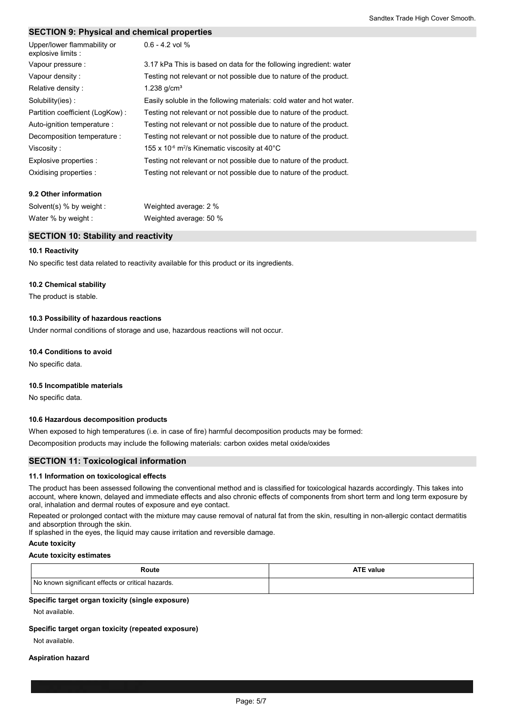#### **SECTION 9: Physical and chemical properties**

| Upper/lower flammability or<br>explosive limits : | $0.6 - 4.2$ vol %                                                                  |
|---------------------------------------------------|------------------------------------------------------------------------------------|
| Vapour pressure :                                 | 3.17 kPa This is based on data for the following ingredient: water                 |
| Vapour density:                                   | Testing not relevant or not possible due to nature of the product.                 |
| Relative density:                                 | 1.238 $q/cm3$                                                                      |
| Solubility(ies):                                  | Easily soluble in the following materials: cold water and hot water.               |
| Partition coefficient (LogKow):                   | Testing not relevant or not possible due to nature of the product.                 |
| Auto-ignition temperature :                       | Testing not relevant or not possible due to nature of the product.                 |
| Decomposition temperature :                       | Testing not relevant or not possible due to nature of the product.                 |
| Viscosity:                                        | 155 x 10 $\textdegree$ m <sup>2</sup> /s Kinematic viscosity at 40 $\textdegree$ C |
| Explosive properties :                            | Testing not relevant or not possible due to nature of the product.                 |
| Oxidising properties :                            | Testing not relevant or not possible due to nature of the product.                 |

#### **9.2 Other information**

| Solvent(s) % by weight : | Weighted average: 2 %  |
|--------------------------|------------------------|
| Water % by weight :      | Weighted average: 50 % |

#### **SECTION 10: Stability and reactivity**

#### **10.1 Reactivity**

No specific test data related to reactivity available for this product or its ingredients.

#### **10.2 Chemical stability**

The product is stable.

#### **10.3 Possibility of hazardous reactions**

Under normal conditions of storage and use, hazardous reactions will not occur.

#### **10.4 Conditions to avoid**

No specific data.

#### **10.5 Incompatible materials**

No specific data.

#### **10.6 Hazardous decomposition products**

When exposed to high temperatures (i.e. in case of fire) harmful decomposition products may be formed:

Decomposition products may include the following materials: carbon oxides metal oxide/oxides

#### **SECTION 11: Toxicological information**

#### **11.1 Information on toxicological effects**

The product has been assessed following the conventional method and is classified for toxicological hazards accordingly. This takes into account, where known, delayed and immediate effects and also chronic effects of components from short term and long term exposure by oral, inhalation and dermal routes of exposure and eye contact.

Repeated or prolonged contact with the mixture may cause removal of natural fat from the skin, resulting in non-allergic contact dermatitis and absorption through the skin.

If splashed in the eyes, the liquid may cause irritation and reversible damage.

#### **Acute toxicity**

#### **Acute toxicity estimates**

| Route                                             | <b>ATE value</b> |
|---------------------------------------------------|------------------|
| No known significant effects or critical hazards. |                  |

#### **Specific target organ toxicity (single exposure)**

Not available.

#### **Specific target organ toxicity (repeated exposure)**

Not available.

#### **Aspiration hazard**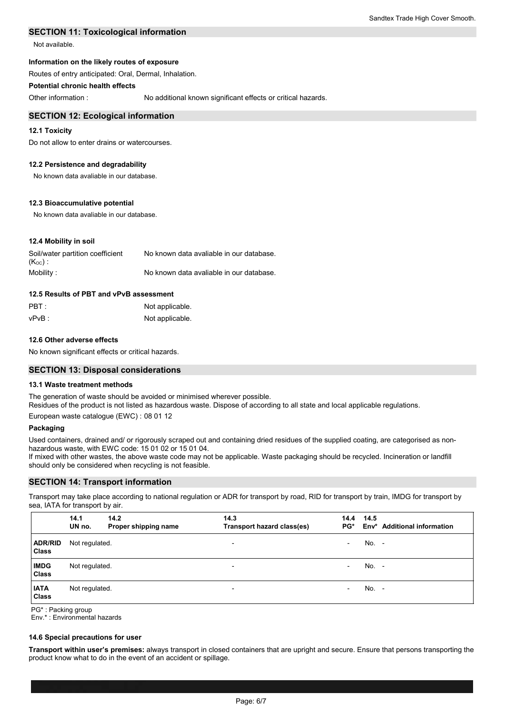#### **SECTION 11: Toxicological information**

Not available.

#### **Information on the likely routes of exposure**

Routes of entry anticipated: Oral, Dermal, Inhalation.

#### **Potential chronic health effects**

Other information :

No additional known significant effects or critical hazards.

#### **SECTION 12: Ecological information**

#### **12.1 Toxicity**

Do not allow to enter drains or watercourses.

#### **12.2 Persistence and degradability**

No known data avaliable in our database.

#### **12.3 Bioaccumulative potential**

No known data avaliable in our database.

#### **12.4 Mobility in soil**

| Soil/water partition coefficient | No known data avaliable in our database. |
|----------------------------------|------------------------------------------|
| $(K_{OC})$ :                     |                                          |
| Mobility:                        | No known data avaliable in our database. |

#### **12.5 Results of PBT and vPvB assessment**

| $\mathsf{PBT}$ : | Not applicable. |
|------------------|-----------------|
| vPvB :           | Not applicable. |

#### **12.6 Other adverse effects**

No known significant effects or critical hazards.

#### **SECTION 13: Disposal considerations**

#### **13.1 Waste treatment methods**

The generation of waste should be avoided or minimised wherever possible. Residues of the product is not listed as hazardous waste. Dispose of according to all state and local applicable regulations. European waste catalogue (EWC) : 08 01 12

#### **Packaging**

Used containers, drained and/ or rigorously scraped out and containing dried residues of the supplied coating, are categorised as nonhazardous waste, with EWC code: 15 01 02 or 15 01 04.

If mixed with other wastes, the above waste code may not be applicable. Waste packaging should be recycled. Incineration or landfill should only be considered when recycling is not feasible.

#### **SECTION 14: Transport information**

Transport may take place according to national regulation or ADR for transport by road, RID for transport by train, IMDG for transport by sea, IATA for transport by air.

|                         | 14.1<br>UN no. | 14.2<br>Proper shipping name | 14.3<br>Transport hazard class(es) | 14.4<br>$PG^*$           | 14.5  | Env* Additional information |
|-------------------------|----------------|------------------------------|------------------------------------|--------------------------|-------|-----------------------------|
| <b>ADR/RID</b><br>Class | Not regulated. |                              | $\overline{\phantom{a}}$           | $\overline{\phantom{0}}$ | No. - |                             |
| <b>IMDG</b><br>Class    | Not regulated. |                              | $\overline{\phantom{a}}$           | $\overline{\phantom{0}}$ | No. - |                             |
| <b>IATA</b><br>Class    | Not regulated. |                              | $\overline{\phantom{0}}$           | $\overline{\phantom{0}}$ | No. - |                             |

PG\* : Packing group

Env.\* : Environmental hazards

#### **14.6 Special precautions for user**

**Transport within user's premises:** always transport in closed containers that are upright and secure. Ensure that persons transporting the product know what to do in the event of an accident or spillage.